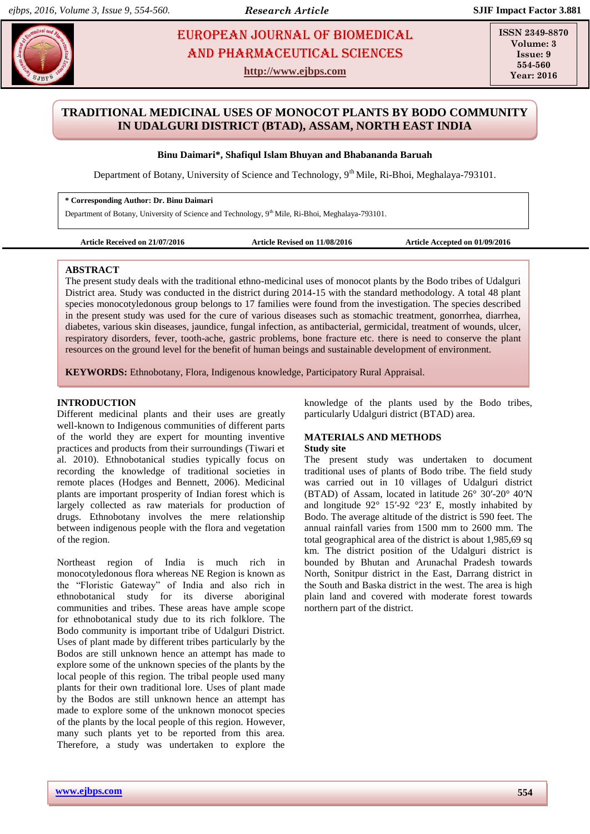# **EUROPEAN JOURNAL OF BIOMEDICAL AND SEX 234** AND Pharmaceutical sciences

**http://www.ejbps.com**

**ISSN 2349-8870 Volume: 3 Issue: 9 554-560 Year: 2016**

## **TRADITIONAL MEDICINAL USES OF MONOCOT PLANTS BY BODO COMMUNITY IN UDALGURI DISTRICT (BTAD), ASSAM, NORTH EAST INDIA**

## **Binu Daimari\*, Shafiqul Islam Bhuyan and Bhabananda Baruah**

Department of Botany, University of Science and Technology, 9<sup>th</sup> Mile, Ri-Bhoi, Meghalaya-793101.

## **\* Corresponding Author: Dr. Binu Daimari**

Department of Botany, University of Science and Technology, 9<sup>th</sup> Mile, Ri-Bhoi, Meghalaya-793101.

**Article Received on 21/07/2016 Article Revised on 11/08/2016 Article Accepted on 01/09/2016**

#### **ABSTRACT**

The present study deals with the traditional ethno-medicinal uses of monocot plants by the Bodo tribes of Udalguri District area. Study was conducted in the district during 2014-15 with the standard methodology. A total 48 plant species monocotyledonous group belongs to 17 families were found from the investigation. The species described in the present study was used for the cure of various diseases such as stomachic treatment, gonorrhea, diarrhea, diabetes, various skin diseases, jaundice, fungal infection, as antibacterial, germicidal, treatment of wounds, ulcer, respiratory disorders, fever, tooth-ache, gastric problems, bone fracture etc. there is need to conserve the plant resources on the ground level for the benefit of human beings and sustainable development of environment.

**KEYWORDS:** Ethnobotany, Flora, Indigenous knowledge, Participatory Rural Appraisal.

#### **INTRODUCTION**

Different medicinal plants and their uses are greatly well-known to Indigenous communities of different parts of the world they are expert for mounting inventive practices and products from their surroundings (Tiwari et al. 2010). Ethnobotanical studies typically focus on recording the knowledge of traditional societies in remote places (Hodges and Bennett, 2006). Medicinal plants are important prosperity of Indian forest which is largely collected as raw materials for production of drugs. Ethnobotany involves the mere relationship between indigenous people with the flora and vegetation of the region.

Northeast region of India is much rich in monocotyledonous flora whereas NE Region is known as the "Floristic Gateway" of India and also rich in ethnobotanical study for its diverse aboriginal communities and tribes. These areas have ample scope for ethnobotanical study due to its rich folklore. The Bodo community is important tribe of Udalguri District. Uses of plant made by different tribes particularly by the Bodos are still unknown hence an attempt has made to explore some of the unknown species of the plants by the local people of this region. The tribal people used many plants for their own traditional lore. Uses of plant made by the Bodos are still unknown hence an attempt has made to explore some of the unknown monocot species of the plants by the local people of this region. However, many such plants yet to be reported from this area. Therefore, a study was undertaken to explore the knowledge of the plants used by the Bodo tribes, particularly Udalguri district (BTAD) area.

## **MATERIALS AND METHODS**

#### **Study site**

The present study was undertaken to document traditional uses of plants of Bodo tribe. The field study was carried out in 10 villages of Udalguri district (BTAD) of Assam, located in latitude 26° 30′-20° 40′N and longitude 92° 15′-92 °23′ E, mostly inhabited by Bodo. The average altitude of the district is 590 feet. The annual rainfall varies from 1500 mm to 2600 mm. The total geographical area of the district is about 1,985,69 sq km. The district position of the Udalguri district is bounded by Bhutan and Arunachal Pradesh towards North, Sonitpur district in the East, Darrang district in the South and Baska district in the west. The area is high plain land and covered with moderate forest towards northern part of the district.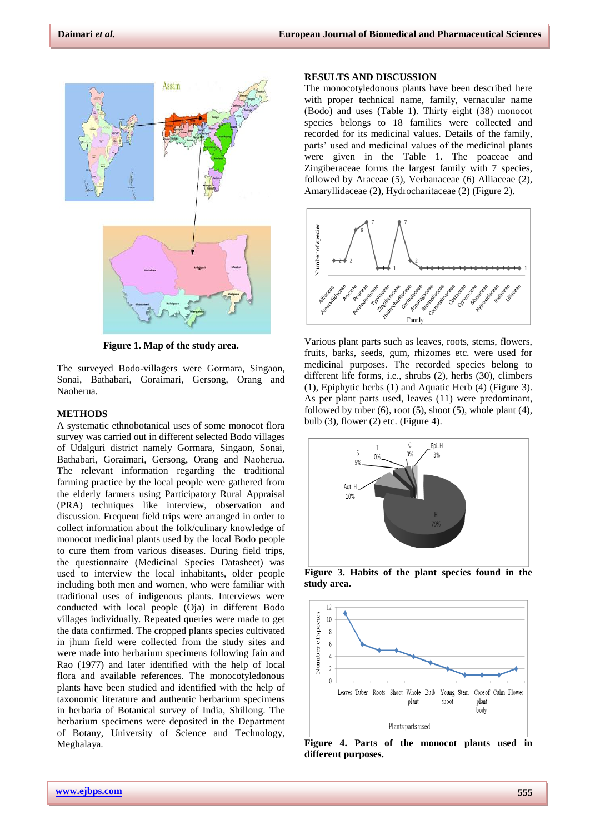

**Figure 1. Map of the study area.**

The surveyed Bodo-villagers were Gormara, Singaon, Sonai, Bathabari, Goraimari, Gersong, Orang and Naoherua.

#### **METHODS**

A systematic ethnobotanical uses of some monocot flora survey was carried out in different selected Bodo villages of Udalguri district namely Gormara, Singaon, Sonai, Bathabari, Goraimari, Gersong, Orang and Naoherua. The relevant information regarding the traditional farming practice by the local people were gathered from the elderly farmers using Participatory Rural Appraisal (PRA) techniques like interview, observation and discussion. Frequent field trips were arranged in order to collect information about the folk/culinary knowledge of monocot medicinal plants used by the local Bodo people to cure them from various diseases. During field trips, the questionnaire (Medicinal Species Datasheet) was used to interview the local inhabitants, older people including both men and women, who were familiar with traditional uses of indigenous plants. Interviews were conducted with local people (Oja) in different Bodo villages individually. Repeated queries were made to get the data confirmed. The cropped plants species cultivated in jhum field were collected from the study sites and were made into herbarium specimens following Jain and Rao (1977) and later identified with the help of local flora and available references. The monocotyledonous plants have been studied and identified with the help of taxonomic literature and authentic herbarium specimens in herbaria of Botanical survey of India, Shillong. The herbarium specimens were deposited in the Department of Botany, University of Science and Technology, Meghalaya.

#### **RESULTS AND DISCUSSION**

The monocotyledonous plants have been described here with proper technical name, family, vernacular name (Bodo) and uses (Table 1). Thirty eight (38) monocot species belongs to 18 families were collected and recorded for its medicinal values. Details of the family, parts' used and medicinal values of the medicinal plants were given in the Table 1. The poaceae and Zingiberaceae forms the largest family with 7 species, followed by Araceae (5), Verbanaceae (6) Alliaceae (2), Amaryllidaceae (2), Hydrocharitaceae (2) (Figure 2).



Various plant parts such as leaves, roots, stems, flowers, fruits, barks, seeds, gum, rhizomes etc. were used for medicinal purposes. The recorded species belong to different life forms, i.e., shrubs (2), herbs (30), climbers (1), Epiphytic herbs (1) and Aquatic Herb (4) (Figure 3). As per plant parts used, leaves (11) were predominant, followed by tuber  $(6)$ , root  $(5)$ , shoot  $(5)$ , whole plant  $(4)$ , bulb  $(3)$ , flower  $(2)$  etc. (Figure 4).



**Figure 3. Habits of the plant species found in the study area.**



**Figure 4. Parts of the monocot plants used in different purposes.**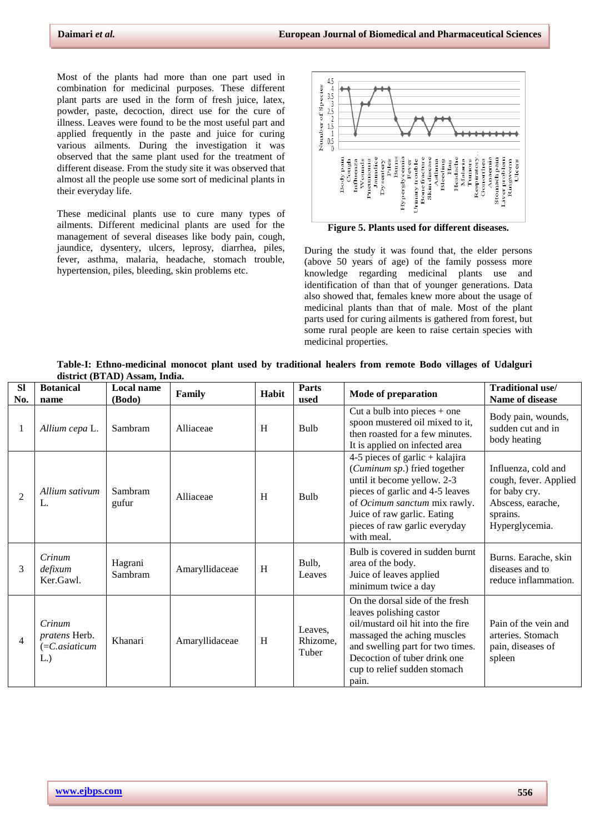Most of the plants had more than one part used in combination for medicinal purposes. These different plant parts are used in the form of fresh juice, latex, powder, paste, decoction, direct use for the cure of illness. Leaves were found to be the most useful part and applied frequently in the paste and juice for curing various ailments. During the investigation it was observed that the same plant used for the treatment of different disease. From the study site it was observed that almost all the people use some sort of medicinal plants in their everyday life.

These medicinal plants use to cure many types of ailments. Different medicinal plants are used for the management of several diseases like body pain, cough, jaundice, dysentery, ulcers, leprosy, diarrhea, piles, fever, asthma, malaria, headache, stomach trouble, hypertension, piles, bleeding, skin problems etc.



**Figure 5. Plants used for different diseases.**

During the study it was found that, the elder persons (above 50 years of age) of the family possess more knowledge regarding medicinal plants use and identification of than that of younger generations. Data also showed that, females knew more about the usage of medicinal plants than that of male. Most of the plant parts used for curing ailments is gathered from forest, but some rural people are keen to raise certain species with medicinal properties.

| <b>Sl</b><br>No. | <b>Botanical</b><br>name                             | <b>Local name</b><br>(Bodo) | Family         | Habit | Parts<br>used                | <b>Mode of preparation</b>                                                                                                                                                                                                                      | Traditional use/<br>Name of disease                                                                              |
|------------------|------------------------------------------------------|-----------------------------|----------------|-------|------------------------------|-------------------------------------------------------------------------------------------------------------------------------------------------------------------------------------------------------------------------------------------------|------------------------------------------------------------------------------------------------------------------|
| $\mathbf{1}$     | Allium cepa L.                                       | Sambram                     | Alliaceae      | H     | Bulb                         | Cut a bulb into pieces $+$ one<br>spoon mustered oil mixed to it,<br>then roasted for a few minutes.<br>It is applied on infected area                                                                                                          | Body pain, wounds,<br>sudden cut and in<br>body heating                                                          |
| $\overline{2}$   | Allium sativum<br>L.                                 | Sambram<br>gufur            | Alliaceae      | H     | <b>Bulb</b>                  | 4-5 pieces of garlic + kalajira<br>(Cuminum sp.) fried together<br>until it become yellow. 2-3<br>pieces of garlic and 4-5 leaves<br>of Ocimum sanctum mix rawly.<br>Juice of raw garlic. Eating<br>pieces of raw garlic everyday<br>with meal. | Influenza, cold and<br>cough, fever. Applied<br>for baby cry.<br>Abscess, earache,<br>sprains.<br>Hyperglycemia. |
| 3                | Crinum<br>defixum<br>Ker.Gawl.                       | Hagrani<br>Sambram          | Amaryllidaceae | H     | Bulb,<br>Leaves              | Bulb is covered in sudden burnt<br>area of the body.<br>Juice of leaves applied<br>minimum twice a day                                                                                                                                          | Burns. Earache, skin<br>diseases and to<br>reduce inflammation.                                                  |
| $\overline{4}$   | Crinum<br>pratens Herb.<br>$(=C. a situation$<br>L.) | Khanari                     | Amaryllidaceae | H     | Leaves,<br>Rhizome,<br>Tuber | On the dorsal side of the fresh<br>leaves polishing castor<br>oil/mustard oil hit into the fire<br>massaged the aching muscles<br>and swelling part for two times.<br>Decoction of tuber drink one<br>cup to relief sudden stomach<br>pain.     | Pain of the vein and<br>arteries. Stomach<br>pain, diseases of<br>spleen                                         |

**Table-I: Ethno-medicinal monocot plant used by traditional healers from remote Bodo villages of Udalguri district (BTAD) Assam, India.**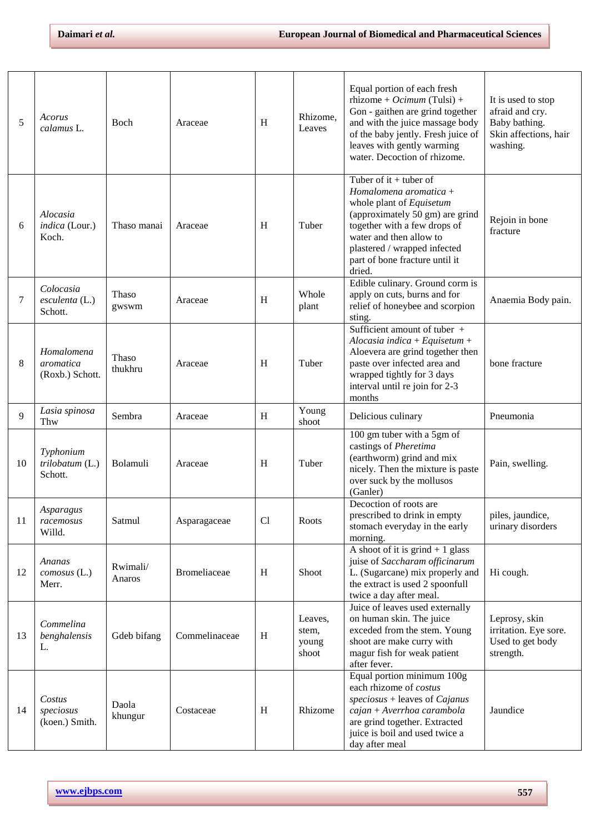| 5  | Acorus<br>calamus L.                             | Boch               | Araceae       | H  | Rhizome,<br>Leaves                 | Equal portion of each fresh<br>rhizome + Ocimum (Tulsi) +<br>Gon - gaithen are grind together<br>and with the juice massage body<br>of the baby jently. Fresh juice of<br>leaves with gently warming<br>water. Decoction of rhizome.                     | It is used to stop<br>afraid and cry.<br>Baby bathing.<br>Skin affections, hair<br>washing. |
|----|--------------------------------------------------|--------------------|---------------|----|------------------------------------|----------------------------------------------------------------------------------------------------------------------------------------------------------------------------------------------------------------------------------------------------------|---------------------------------------------------------------------------------------------|
| 6  | Alocasia<br>indica (Lour.)<br>Koch.              | Thaso manai        | Araceae       | H  | Tuber                              | Tuber of it $+$ tuber of<br>Homalomena aromatica +<br>whole plant of Equisetum<br>(approximately 50 gm) are grind<br>together with a few drops of<br>water and then allow to<br>plastered / wrapped infected<br>part of bone fracture until it<br>dried. | Rejoin in bone<br>fracture                                                                  |
| 7  | Colocasia<br>$\epsilon$ sculenta (L.)<br>Schott. | Thaso<br>gwswm     | Araceae       | H  | Whole<br>plant                     | Edible culinary. Ground corm is<br>apply on cuts, burns and for<br>relief of honeybee and scorpion<br>sting.                                                                                                                                             | Anaemia Body pain.                                                                          |
| 8  | Homalomena<br>aromatica<br>(Roxb.) Schott.       | Thaso<br>thukhru   | Araceae       | H  | Tuber                              | Sufficient amount of tuber +<br>Alocasia indica + Equisetum +<br>Aloevera are grind together then<br>paste over infected area and<br>wrapped tightly for 3 days<br>interval until re join for 2-3<br>months                                              | bone fracture                                                                               |
| 9  | Lasia spinosa<br>Thw                             | Sembra             | Araceae       | H  | Young<br>shoot                     | Delicious culinary                                                                                                                                                                                                                                       | Pneumonia                                                                                   |
| 10 | Typhonium<br>trilobatum (L.)<br>Schott.          | Bolamuli           | Araceae       | H  | Tuber                              | 100 gm tuber with a 5gm of<br>castings of Pheretima<br>(earthworm) grind and mix<br>nicely. Then the mixture is paste<br>over suck by the mollusos<br>(Ganler)                                                                                           | Pain, swelling.                                                                             |
| 11 | Asparagus<br>racemosus<br>Willd.                 | Satmul             | Asparagaceae  | Cl | Roots                              | Decoction of roots are<br>prescribed to drink in empty<br>stomach everyday in the early<br>morning.                                                                                                                                                      | piles, jaundice,<br>urinary disorders                                                       |
| 12 | Ananas<br>comosus (L.)<br>Merr.                  | Rwimali/<br>Anaros | Bromeliaceae  | H  | Shoot                              | A shoot of it is grind $+1$ glass<br>juise of Saccharam officinarum<br>L. (Sugarcane) mix properly and<br>the extract is used 2 spoonfull<br>twice a day after meal.                                                                                     | Hi cough.                                                                                   |
| 13 | Commelina<br>benghalensis<br>L.                  | Gdeb bifang        | Commelinaceae | H  | Leaves,<br>stem,<br>young<br>shoot | Juice of leaves used externally<br>on human skin. The juice<br>exceded from the stem. Young<br>shoot are make curry with<br>magur fish for weak patient<br>after fever.                                                                                  | Leprosy, skin<br>irritation. Eye sore.<br>Used to get body<br>strength.                     |
| 14 | Costus<br>speciosus<br>(koen.) Smith.            | Daola<br>khungur   | Costaceae     | H  | Rhizome                            | Equal portion minimum 100g<br>each rhizome of costus<br>$speciesus + leaves of Cajanus$<br>cajan + Averrhoa carambola<br>are grind together. Extracted<br>juice is boil and used twice a<br>day after meal                                               | Jaundice                                                                                    |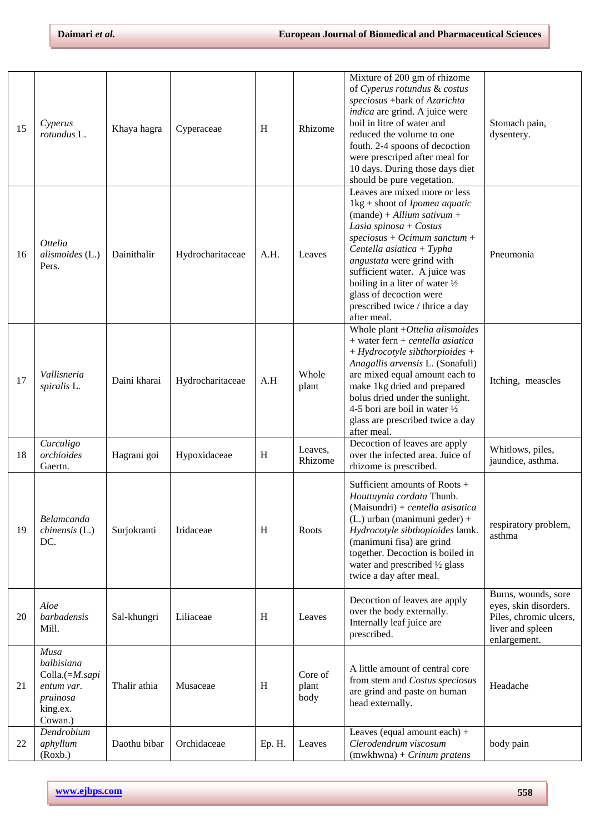| 15 | Cyperus<br>rotundus L.                                                                | Khaya hagra  | Cyperaceae       | H      | Rhizome                  | Mixture of 200 gm of rhizome<br>of Cyperus rotundus & costus<br>speciosus +bark of Azarichta<br>indica are grind. A juice were<br>boil in litre of water and<br>reduced the volume to one<br>fouth. 2-4 spoons of decoction<br>were prescriped after meal for<br>10 days. During those days diet<br>should be pure vegetation.                                                                           | Stomach pain,<br>dysentery.                                                                                |
|----|---------------------------------------------------------------------------------------|--------------|------------------|--------|--------------------------|----------------------------------------------------------------------------------------------------------------------------------------------------------------------------------------------------------------------------------------------------------------------------------------------------------------------------------------------------------------------------------------------------------|------------------------------------------------------------------------------------------------------------|
| 16 | <i>Ottelia</i><br>alismoides (L.)<br>Pers.                                            | Dainithalir  | Hydrocharitaceae | A.H.   | Leaves                   | Leaves are mixed more or less<br>$1\text{kg} + \text{shoot of } Ipomea \text{ aquatic}$<br>$(mande) + Allium sativum +$<br>Lasia spinosa + Costus<br>$speciesus + Ocimum$ sanctum +<br>Centella asiatica + Typha<br>angustata were grind with<br>sufficient water. A juice was<br>boiling in a liter of water $\frac{1}{2}$<br>glass of decoction were<br>prescribed twice / thrice a day<br>after meal. | Pneumonia                                                                                                  |
| 17 | Vallisneria<br>spiralis L.                                                            | Daini kharai | Hydrocharitaceae | A.H    | Whole<br>plant           | Whole plant $+Ottelia$ alismoides<br>$+$ water fern $+$ centella asiatica<br>$+$ Hydrocotyle sibthorpioides +<br>Anagallis arvensis L. (Sonafuli)<br>are mixed equal amount each to<br>make 1kg dried and prepared<br>bolus dried under the sunlight.<br>4-5 bori are boil in water $\frac{1}{2}$<br>glass are prescribed twice a day<br>after meal.                                                     | Itching, meascles                                                                                          |
| 18 | Curculigo<br>orchioides<br>Gaertn.                                                    | Hagrani goi  | Hypoxidaceae     | H      | Leaves,<br>Rhizome       | Decoction of leaves are apply<br>over the infected area. Juice of<br>rhizome is prescribed.                                                                                                                                                                                                                                                                                                              | Whitlows, piles,<br>jaundice, asthma.                                                                      |
| 19 | Belamcanda<br>$chinensis$ (L.)<br>DC.                                                 | Surjokranti  | Iridaceae        | H      | Roots                    | Sufficient amounts of Roots +<br>Houttuynia cordata Thunb.<br>(Maisundri) + centella asisatica<br>$(L.)$ urban (manimuni geder) +<br>Hydrocotyle sibthopioides lamk.<br>(manimuni fisa) are grind<br>together. Decoction is boiled in<br>water and prescribed $\frac{1}{2}$ glass<br>twice a day after meal.                                                                                             | respiratory problem,<br>asthma                                                                             |
| 20 | Aloe<br>barbadensis<br>Mill.                                                          | Sal-khungri  | Liliaceae        | H      | Leaves                   | Decoction of leaves are apply<br>over the body externally.<br>Internally leaf juice are<br>prescribed.                                                                                                                                                                                                                                                                                                   | Burns, wounds, sore<br>eyes, skin disorders.<br>Piles, chromic ulcers,<br>liver and spleen<br>enlargement. |
| 21 | Musa<br>balbisiana<br>Colla.(=M.sapi<br>entum var.<br>pruinosa<br>king.ex.<br>Cowan.) | Thalir athia | Musaceae         | H      | Core of<br>plant<br>body | A little amount of central core<br>from stem and Costus speciosus<br>are grind and paste on human<br>head externally.                                                                                                                                                                                                                                                                                    | Headache                                                                                                   |
| 22 | Dendrobium<br>aphyllum<br>(Roxb.)                                                     | Daothu bibar | Orchidaceae      | Ep. H. | Leaves                   | Leaves (equal amount each) +<br>Clerodendrum viscosum<br>$(mwkhwna) + Crinum\text{ pratens}$                                                                                                                                                                                                                                                                                                             | body pain                                                                                                  |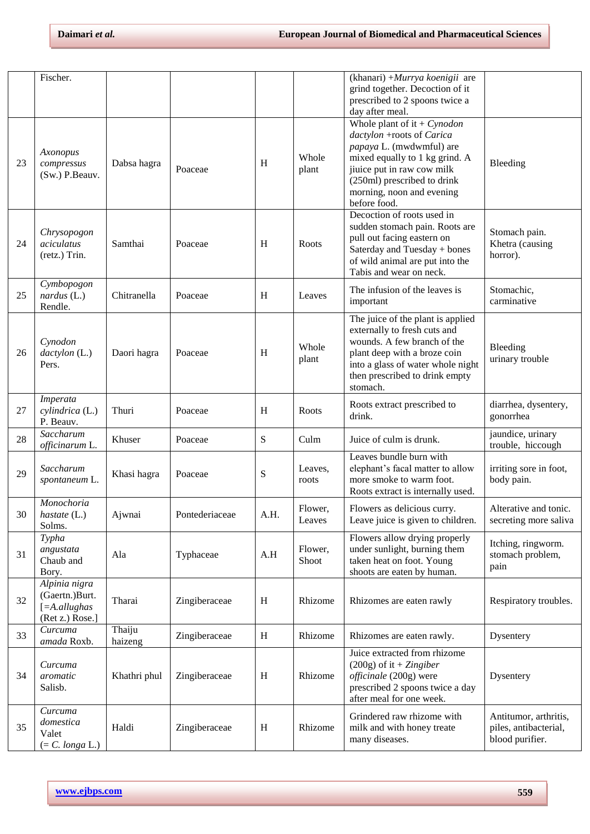|    | Fischer.                                                                  |                   |                |      |                   | (khanari) + Murrya koenigii are<br>grind together. Decoction of it<br>prescribed to 2 spoons twice a<br>day after meal.                                                                                                            |                                                                   |
|----|---------------------------------------------------------------------------|-------------------|----------------|------|-------------------|------------------------------------------------------------------------------------------------------------------------------------------------------------------------------------------------------------------------------------|-------------------------------------------------------------------|
| 23 | Axonopus<br>compressus<br>(Sw.) P.Beauv.                                  | Dabsa hagra       | Poaceae        | H    | Whole<br>plant    | Whole plant of it + $Cynodon$<br>dactylon +roots of Carica<br>papaya L. (mwdwmful) are<br>mixed equally to 1 kg grind. A<br>jiuice put in raw cow milk<br>(250ml) prescribed to drink<br>morning, noon and evening<br>before food. | Bleeding                                                          |
| 24 | Chrysopogon<br>aciculatus<br>(retz.) Trin.                                | Samthai           | Poaceae        | H    | Roots             | Decoction of roots used in<br>sudden stomach pain. Roots are<br>pull out facing eastern on<br>Saterday and Tuesday + bones<br>of wild animal are put into the<br>Tabis and wear on neck.                                           | Stomach pain.<br>Khetra (causing<br>horror).                      |
| 25 | Cymbopogon<br>$nardus$ (L.)<br>Rendle.                                    | Chitranella       | Poaceae        | H    | Leaves            | The infusion of the leaves is<br>important                                                                                                                                                                                         | Stomachic,<br>carminative                                         |
| 26 | Cynodon<br>dactylon (L.)<br>Pers.                                         | Daori hagra       | Poaceae        | H    | Whole<br>plant    | The juice of the plant is applied<br>externally to fresh cuts and<br>wounds. A few branch of the<br>plant deep with a broze coin<br>into a glass of water whole night<br>then prescribed to drink empty<br>stomach.                | Bleeding<br>urinary trouble                                       |
| 27 | Imperata<br>cylindrica (L.)<br>P. Beauv.                                  | Thuri             | Poaceae        | H    | Roots             | Roots extract prescribed to<br>drink.                                                                                                                                                                                              | diarrhea, dysentery,<br>gonorrhea                                 |
| 28 | Saccharum<br>officinarum L.                                               | Khuser            | Poaceae        | S    | Culm              | Juice of culm is drunk.                                                                                                                                                                                                            | jaundice, urinary<br>trouble, hiccough                            |
| 29 | Saccharum<br>spontaneum L.                                                | Khasi hagra       | Poaceae        | S    | Leaves,<br>roots  | Leaves bundle burn with<br>elephant's facal matter to allow<br>more smoke to warm foot.<br>Roots extract is internally used.                                                                                                       | irriting sore in foot,<br>body pain.                              |
| 30 | Monochoria<br>hastate (L.)<br>Solms.                                      | Ajwnai            | Pontederiaceae | A.H. | Flower.<br>Leaves | Flowers as delicious curry.<br>Leave juice is given to children.                                                                                                                                                                   | Alterative and tonic.<br>secreting more saliva                    |
| 31 | Typha<br>angustata<br>Chaub and<br>Bory.                                  | Ala               | Typhaceae      | A.H  | Flower,<br>Shoot  | Flowers allow drying properly<br>under sunlight, burning them<br>taken heat on foot. Young<br>shoots are eaten by human.                                                                                                           | Itching, ringworm.<br>stomach problem,<br>pain                    |
| 32 | Alpinia nigra<br>(Gaertn.)Burt.<br>$[ = A. all us has$<br>(Ret z.) Rose.] | Tharai            | Zingiberaceae  | H    | Rhizome           | Rhizomes are eaten rawly                                                                                                                                                                                                           | Respiratory troubles.                                             |
| 33 | Curcuma<br>amada Roxb.                                                    | Thaiju<br>haizeng | Zingiberaceae  | H    | Rhizome           | Rhizomes are eaten rawly.                                                                                                                                                                                                          | Dysentery                                                         |
| 34 | Curcuma<br>aromatic<br>Salisb.                                            | Khathri phul      | Zingiberaceae  | H    | Rhizome           | Juice extracted from rhizome<br>$(200g)$ of it + Zingiber<br>officinale (200g) were<br>prescribed 2 spoons twice a day<br>after meal for one week.                                                                                 | Dysentery                                                         |
| 35 | Curcuma<br>domestica<br>Valet<br>$(= C. longa L.)$                        | Haldi             | Zingiberaceae  | H    | Rhizome           | Grindered raw rhizome with<br>milk and with honey treate<br>many diseases.                                                                                                                                                         | Antitumor, arthritis,<br>piles, antibacterial,<br>blood purifier. |